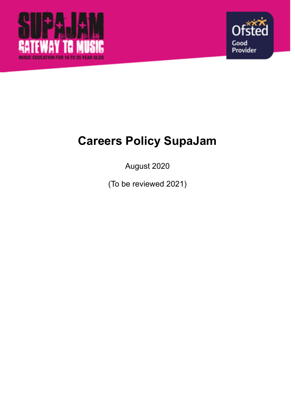



# **Careers Policy SupaJam**

August 2020

(To be reviewed 2021)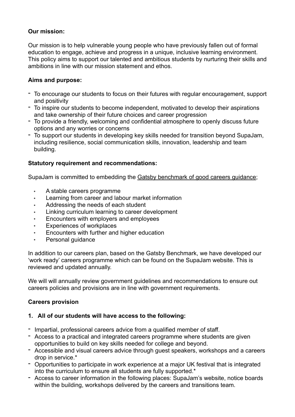## **Our mission:**

Our mission is to help vulnerable young people who have previously fallen out of formal education to engage, achieve and progress in a unique, inclusive learning environment. This policy aims to support our talented and ambitious students by nurturing their skills and ambitions in line with our mission statement and ethos.

## **Aims and purpose:**

- To encourage our students to focus on their futures with regular encouragement, support and positivity
- To inspire our students to become independent, motivated to develop their aspirations and take ownership of their future choices and career progression
- To provide a friendly, welcoming and confidential atmosphere to openly discuss future options and any worries or concerns
- To support our students in developing key skills needed for transition beyond SupaJam, including resilience, social communication skills, innovation, leadership and team building.

## **Statutory requirement and recommendations:**

SupaJam is committed to embedding the [Gatsby benchmark of good careers guidance;](http://www.gatsby.org.uk/uploads/education/final-0099-gcg-college-booklet-a5-4pp-rgb-aw1.pdf)

- A stable careers programme
- Learning from career and labour market information
- Addressing the needs of each student
- Linking curriculum learning to career development
- Encounters with employers and employees
- Experiences of workplaces
- Encounters with further and higher education
- Personal guidance

In addition to our careers plan, based on the Gatsby Benchmark, we have developed our 'work ready' careers programme which can be found on the SupaJam website. This is reviewed and updated annually.

We will will annually review government guidelines and recommendations to ensure out careers policies and provisions are in line with government requirements.

## **Careers provision**

## **1. All of our students will have access to the following:**

- Impartial, professional careers advice from a qualified member of staff.
- Access to a practical and integrated careers programme where students are given opportunities to build on key skills needed for college and beyond.
- Accessible and visual careers advice through guest speakers, workshops and a careers drop in service.\*
- Opportunities to participate in work experience at a major UK festival that is integrated into the curriculum to ensure all students are fully supported.\*
- Access to career information in the following places: SupaJam's website, notice boards within the building, workshops delivered by the careers and transitions team.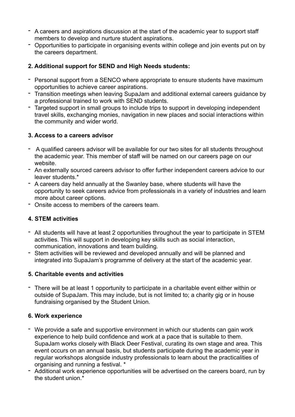- A careers and aspirations discussion at the start of the academic year to support staff members to develop and nurture student aspirations.
- Opportunities to participate in organising events within college and join events put on by the careers department.

## **2. Additional support for SEND and High Needs students:**

- Personal support from a SENCO where appropriate to ensure students have maximum opportunities to achieve career aspirations.
- Transition meetings when leaving SupaJam and additional external careers guidance by a professional trained to work with SEND students.
- Targeted support in small groups to include trips to support in developing independent travel skills, exchanging monies, navigation in new places and social interactions within the community and wider world.

## **3. Access to a careers advisor**

- A qualified careers advisor will be available for our two sites for all students throughout the academic year. This member of staff will be named on our careers page on our website.
- An externally sourced careers advisor to offer further independent careers advice to our leaver students.\*
- A careers day held annually at the Swanley base, where students will have the opportunity to seek careers advice from professionals in a variety of industries and learn more about career options.
- Onsite access to members of the careers team.

## **4. STEM activities**

- All students will have at least 2 opportunities throughout the year to participate in STEM activities. This will support in developing key skills such as social interaction, communication, innovations and team building.
- Stem activities will be reviewed and developed annually and will be planned and integrated into SupaJam's programme of delivery at the start of the academic year.

## **5. Charitable events and activities**

- There will be at least 1 opportunity to participate in a charitable event either within or outside of SupaJam. This may include, but is not limited to; a charity gig or in house fundraising organised by the Student Union.

## **6. Work experience**

- We provide a safe and supportive environment in which our students can gain work experience to help build confidence and work at a pace that is suitable to them. SupaJam works closely with Black Deer Festival, curating its own stage and area. This event occurs on an annual basis, but students participate during the academic year in regular workshops alongside industry professionals to learn about the practicalities of organising and running a festival. \*
- Additional work experience opportunities will be advertised on the careers board, run by the student union  $*$